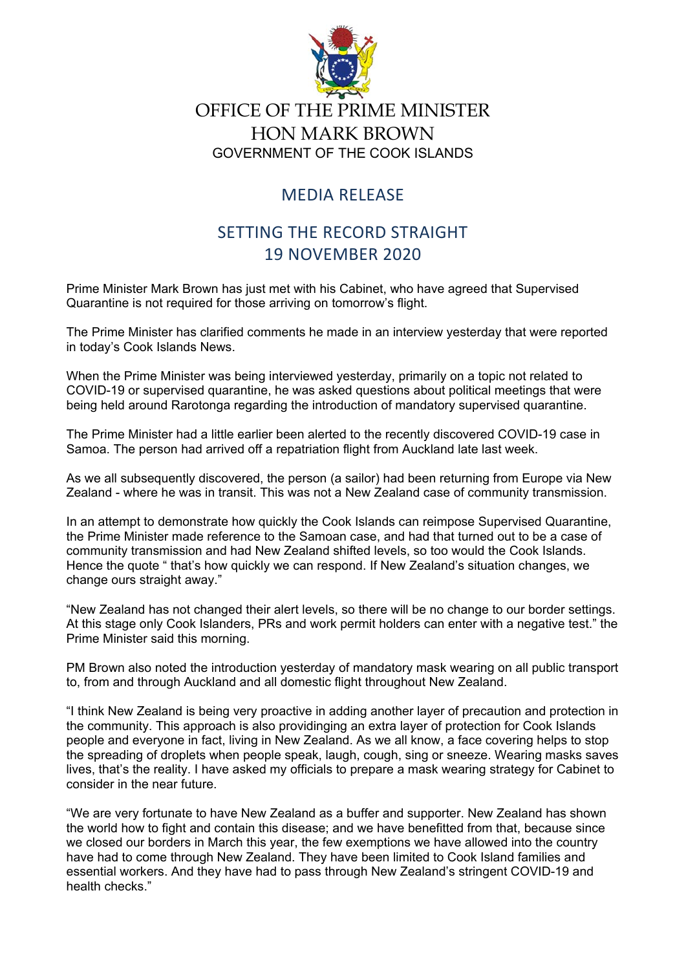

## OFFICE OF THE PRIME MINISTER HON MARK BROWN GOVERNMENT OF THE COOK ISLANDS

## MEDIA RELEASE

## SETTING THE RECORD STRAIGHT 19 NOVEMBER 2020

Prime Minister Mark Brown has just met with his Cabinet, who have agreed that Supervised Quarantine is not required for those arriving on tomorrow's flight.

The Prime Minister has clarified comments he made in an interview yesterday that were reported in today's Cook Islands News.

When the Prime Minister was being interviewed yesterday, primarily on a topic not related to COVID-19 or supervised quarantine, he was asked questions about political meetings that were being held around Rarotonga regarding the introduction of mandatory supervised quarantine.

The Prime Minister had a little earlier been alerted to the recently discovered COVID-19 case in Samoa. The person had arrived off a repatriation flight from Auckland late last week.

As we all subsequently discovered, the person (a sailor) had been returning from Europe via New Zealand - where he was in transit. This was not a New Zealand case of community transmission.

In an attempt to demonstrate how quickly the Cook Islands can reimpose Supervised Quarantine, the Prime Minister made reference to the Samoan case, and had that turned out to be a case of community transmission and had New Zealand shifted levels, so too would the Cook Islands. Hence the quote " that's how quickly we can respond. If New Zealand's situation changes, we change ours straight away."

"New Zealand has not changed their alert levels, so there will be no change to our border settings. At this stage only Cook Islanders, PRs and work permit holders can enter with a negative test." the Prime Minister said this morning.

PM Brown also noted the introduction yesterday of mandatory mask wearing on all public transport to, from and through Auckland and all domestic flight throughout New Zealand.

"I think New Zealand is being very proactive in adding another layer of precaution and protection in the community. This approach is also providinging an extra layer of protection for Cook Islands people and everyone in fact, living in New Zealand. As we all know, a face covering helps to stop the spreading of droplets when people speak, laugh, cough, sing or sneeze. Wearing masks saves lives, that's the reality. I have asked my officials to prepare a mask wearing strategy for Cabinet to consider in the near future.

"We are very fortunate to have New Zealand as a buffer and supporter. New Zealand has shown the world how to fight and contain this disease; and we have benefitted from that, because since we closed our borders in March this year, the few exemptions we have allowed into the country have had to come through New Zealand. They have been limited to Cook Island families and essential workers. And they have had to pass through New Zealand's stringent COVID-19 and health checks."